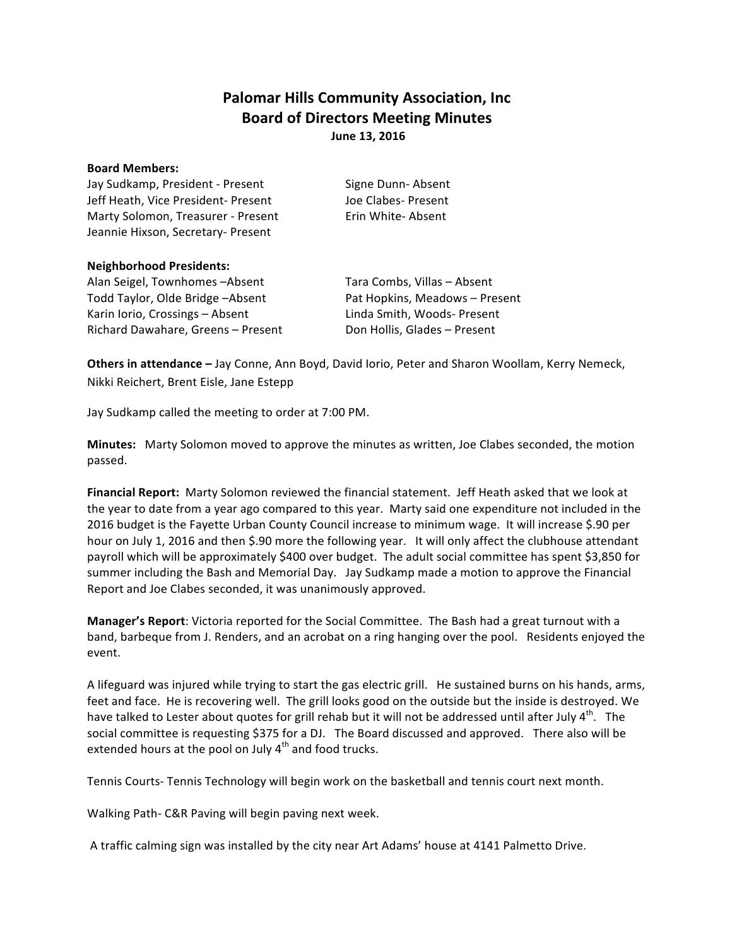## **Palomar Hills Community Association, Inc. Board of Directors Meeting Minutes June 13, 2016**

## **Board Members:**

Jay Sudkamp, President - Present Signe Dunn- Absent Jeff Heath, Vice President- Present Joe Clabes- Present Marty Solomon, Treasurer - Present Erin White- Absent Jeannie Hixson, Secretary- Present

## **Neighborhood Presidents:**

Alan Seigel, Townhomes -Absent Tara Combs, Villas - Absent Todd Taylor, Olde Bridge –Absent **Pat Hopkins, Meadows** – Present Karin Iorio, Crossings - Absent Linda Smith, Woods- Present Richard Dawahare, Greens - Present Don Hollis, Glades - Present

**Others in attendance** - Jay Conne, Ann Boyd, David Iorio, Peter and Sharon Woollam, Kerry Nemeck, Nikki Reichert, Brent Eisle, Jane Estepp

Jay Sudkamp called the meeting to order at 7:00 PM.

**Minutes:** Marty Solomon moved to approve the minutes as written, Joe Clabes seconded, the motion passed. 

Financial Report: Marty Solomon reviewed the financial statement. Jeff Heath asked that we look at the year to date from a year ago compared to this year. Marty said one expenditure not included in the 2016 budget is the Fayette Urban County Council increase to minimum wage. It will increase \$.90 per hour on July 1, 2016 and then \$.90 more the following year. It will only affect the clubhouse attendant payroll which will be approximately \$400 over budget. The adult social committee has spent \$3,850 for summer including the Bash and Memorial Day. Jay Sudkamp made a motion to approve the Financial Report and Joe Clabes seconded, it was unanimously approved.

**Manager's Report:** Victoria reported for the Social Committee. The Bash had a great turnout with a band, barbeque from J. Renders, and an acrobat on a ring hanging over the pool. Residents enjoyed the event.

A lifeguard was injured while trying to start the gas electric grill. He sustained burns on his hands, arms, feet and face. He is recovering well. The grill looks good on the outside but the inside is destroyed. We have talked to Lester about quotes for grill rehab but it will not be addressed until after July  $4^{th}$ . The social committee is requesting \$375 for a DJ. The Board discussed and approved. There also will be extended hours at the pool on July  $4<sup>th</sup>$  and food trucks.

Tennis Courts- Tennis Technology will begin work on the basketball and tennis court next month.

Walking Path- C&R Paving will begin paving next week.

A traffic calming sign was installed by the city near Art Adams' house at 4141 Palmetto Drive.